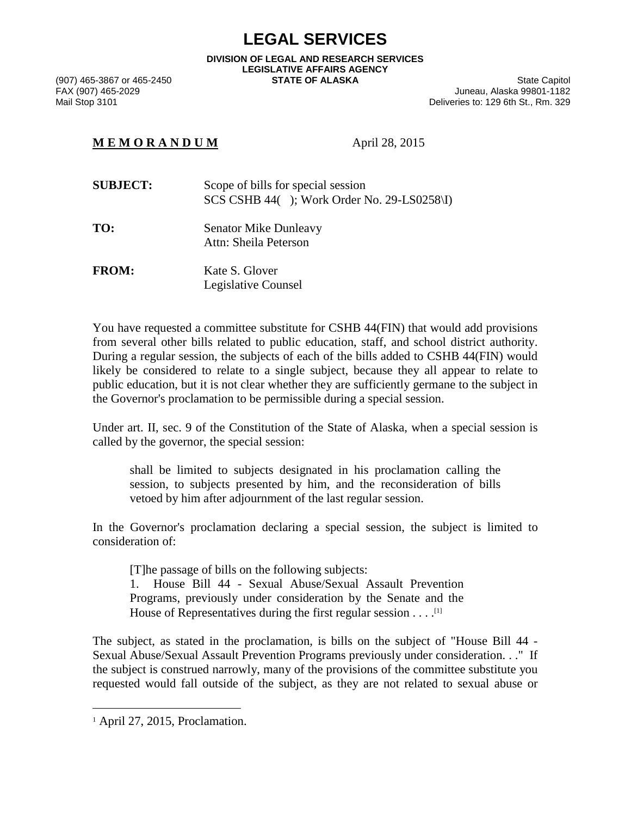## **LEGAL SERVICES**

**DIVISION OF LEGAL AND RESEARCH SERVICES LEGISLATIVE AFFAIRS AGENCY** 

(907) 465-3867 or 465-2450 **STATE OF ALASKA** State Capitol State Capitol State Capitol State Capitol State Capitol<br>FAX (907) 465-2029 **State Capitol State Capitol State Capitol State Capitol State State State State State S** FAX (907) 465-2029 Juneau, Alaska 99801-1182 Deliveries to: 129 6th St., Rm. 329

## **M E M O R A N D U M** April 28, 2015

| <b>SUBJECT:</b> | Scope of bills for special session<br>$SCS CSHB 44()$ ; Work Order No. 29-LS0258\I) |
|-----------------|-------------------------------------------------------------------------------------|
| TO:             | <b>Senator Mike Dunleavy</b>                                                        |

Attn: Sheila Peterson

FROM: Kate S. Glover Legislative Counsel

You have requested a committee substitute for CSHB 44(FIN) that would add provisions from several other bills related to public education, staff, and school district authority. During a regular session, the subjects of each of the bills added to CSHB 44(FIN) would likely be considered to relate to a single subject, because they all appear to relate to public education, but it is not clear whether they are sufficiently germane to the subject in the Governor's proclamation to be permissible during a special session.

Under art. II, sec. 9 of the Constitution of the State of Alaska, when a special session is called by the governor, the special session:

shall be limited to subjects designated in his proclamation calling the session, to subjects presented by him, and the reconsideration of bills vetoed by him after adjournment of the last regular session.

In the Governor's proclamation declaring a special session, the subject is limited to consideration of:

[T]he passage of bills on the following subjects: 1. House Bill 44 - Sexual Abuse/Sexual Assault Prevention Programs, previously under consideration by the Senate and the

House of Representatives during the first regular session . . . .<sup>[1]</sup>

The subject, as stated in the proclamation, is bills on the subject of "House Bill 44 - Sexual Abuse/Sexual Assault Prevention Programs previously under consideration. . ." If the subject is construed narrowly, many of the provisions of the committee substitute you requested would fall outside of the subject, as they are not related to sexual abuse or

1

<sup>1</sup> April 27, 2015, Proclamation.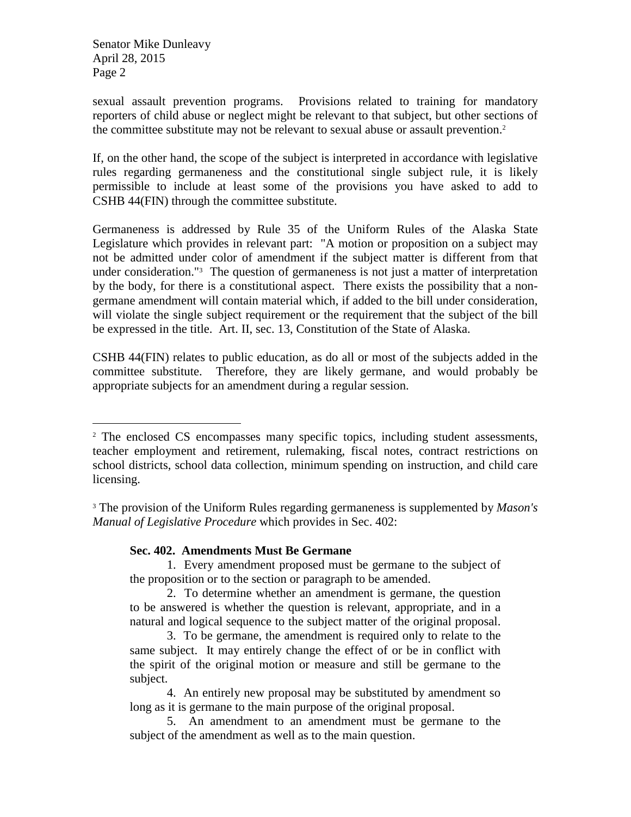Senator Mike Dunleavy April 28, 2015 Page 2

1

sexual assault prevention programs. Provisions related to training for mandatory reporters of child abuse or neglect might be relevant to that subject, but other sections of the committee substitute may not be relevant to sexual abuse or assault prevention.<sup>2</sup>

If, on the other hand, the scope of the subject is interpreted in accordance with legislative rules regarding germaneness and the constitutional single subject rule, it is likely permissible to include at least some of the provisions you have asked to add to CSHB 44(FIN) through the committee substitute.

Germaneness is addressed by Rule 35 of the Uniform Rules of the Alaska State Legislature which provides in relevant part: "A motion or proposition on a subject may not be admitted under color of amendment if the subject matter is different from that under consideration."3 The question of germaneness is not just a matter of interpretation by the body, for there is a constitutional aspect. There exists the possibility that a nongermane amendment will contain material which, if added to the bill under consideration, will violate the single subject requirement or the requirement that the subject of the bill be expressed in the title. Art. II, sec. 13, Constitution of the State of Alaska.

CSHB 44(FIN) relates to public education, as do all or most of the subjects added in the committee substitute. Therefore, they are likely germane, and would probably be appropriate subjects for an amendment during a regular session.

## **Sec. 402. Amendments Must Be Germane**

 1. Every amendment proposed must be germane to the subject of the proposition or to the section or paragraph to be amended.

<sup>&</sup>lt;sup>2</sup> The enclosed CS encompasses many specific topics, including student assessments, teacher employment and retirement, rulemaking, fiscal notes, contract restrictions on school districts, school data collection, minimum spending on instruction, and child care licensing.

<sup>3</sup> The provision of the Uniform Rules regarding germaneness is supplemented by *Mason's Manual of Legislative Procedure* which provides in Sec. 402:

 <sup>2.</sup> To determine whether an amendment is germane, the question to be answered is whether the question is relevant, appropriate, and in a natural and logical sequence to the subject matter of the original proposal.

 <sup>3.</sup> To be germane, the amendment is required only to relate to the same subject. It may entirely change the effect of or be in conflict with the spirit of the original motion or measure and still be germane to the subject.

 <sup>4.</sup> An entirely new proposal may be substituted by amendment so long as it is germane to the main purpose of the original proposal.

 <sup>5.</sup> An amendment to an amendment must be germane to the subject of the amendment as well as to the main question.